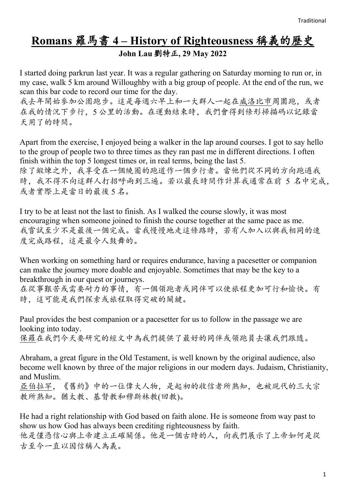# **Romans** 羅馬書 **4 – History of Righteousness** 稱義的歷史

**John Lau** 劉特正**, 29 May 2022**

I started doing parkrun last year. It was a regular gathering on Saturday morning to run or, in my case, walk 5 km around Willoughby with a big group of people. At the end of the run, we scan this bar code to record our time for the day.

我去年開始參加公園跑步。這是每週六早上和一大群人一起在威洛比市周圍跑,或者 在我的情況下步行,5 公里的活動。在運動結束時,我們會得到條形掃描碼以記錄當 天用了的時間。

Apart from the exercise, I enjoyed being a walker in the lap around courses. I got to say hello to the group of people two to three times as they ran past me in different directions. I often finish within the top 5 longest times or, in real terms, being the last 5. 除了鍛煉之外,我享受在一個繞圈的跑道作一個步行者。當他們從不同的方向跑過我 時,我不得不向這群人打招呼兩到三遍。若以最長時間作計算我通常在前 5 名中完成, 或者實際上是當日的最後 5 名。

I try to be at least not the last to finish. As I walked the course slowly, it was most encouraging when someone joined to finish the course together at the same pace as me. 我嘗試至少不是最後一個完成。當我慢慢地走這條路時,若有人加入以與我相同的速 度完成路程,這是最令人鼓舞的。

When working on something hard or requires endurance, having a pacesetter or companion can make the journey more doable and enjoyable. Sometimes that may be the key to a breakthrough in our quest or journeys.

在從事艱苦或需要耐力的事情,有一個領跑者或同伴可以使旅程更加可行和愉快。有 時,這可能是我們探索或旅程取得突破的關鍵。

Paul provides the best companion or a pacesetter for us to follow in the passage we are looking into today.

保羅在我們今天要研究的經文中為我們提供了最好的同伴或領跑員去讓我們跟隨。

Abraham, a great figure in the Old Testament, is well known by the original audience, also become well known by three of the major religions in our modern days. Judaism, Christianity, and Muslim.

亞伯拉罕,《舊約》中的一位偉大人物,是起初的收信者所熟知,也被現代的三大宗 教所熟知。猶太教、基督教和穆斯林教(回教)。

He had a right relationship with God based on faith alone. He is someone from way past to show us how God has always been crediting righteousness by faith. 他是僅憑信心與上帝建立正確關係。他是一個古時的人,向我們展示了上帝如何是從 古至今一直以因信稱人為義。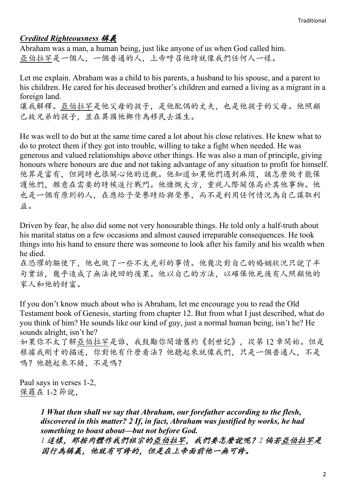## *Credited Righteousness* 稱義

Abraham was a man, a human being, just like anyone of us when God called him. 亞伯拉罕是一個人,一個普通的人,上帝呼召他時就像我們任何人一樣。

Let me explain. Abraham was a child to his parents, a husband to his spouse, and a parent to his children. He cared for his deceased brother's children and earned a living as a migrant in a foreign land.

讓我解釋。亞伯拉罕是他父母的孩子,是他配偶的丈夫,也是他孩子的父母。他照顧 已故兄弟的孩子,並在異國他鄉作為移民去謀生。

He was well to do but at the same time cared a lot about his close relatives. He knew what to do to protect them if they got into trouble, willing to take a fight when needed. He was generous and valued relationships above other things. He was also a man of principle, giving honours where honours are due and not taking advantage of any situation to profit for himself. 他算是富有,但同時也很關心他的近親。他知道如果他們遇到麻煩,該怎麼做才能保 護他們,願意在需要的時候進行戰鬥。他慷慨大方,重視人際關係高於其他事物。他 也是一個有原則的人,在應給予榮譽時給與榮譽,而不是利用任何情況為自己謀取利 益。

Driven by fear, he also did some not very honourable things. He told only a half-truth about his marital status on a few occasions and almost caused irreparable consequences. He took things into his hand to ensure there was someone to look after his family and his wealth when he died.

在恐懼的驅使下,他也做了一些不太光彩的事情。他幾次對自己的婚姻狀況只說了半 句實話,幾乎造成了無法挽回的後果。他以自己的方法,以確保他死後有人照顧他的 家人和他的財富。

If you don't know much about who is Abraham, let me encourage you to read the Old Testament book of Genesis, starting from chapter 12. But from what I just described, what do you think of him? He sounds like our kind of guy, just a normal human being, isn't he? He sounds alright, isn't he?

如果你不太了解亞伯拉罕是誰,我鼓勵你閱讀舊約《創世記》,從第 12 章開始。但是 根據我剛才的描述,你對他有什麼看法?他聽起來就像我們,只是一個普通人,不是 嗎?他聽起來不錯,不是嗎?

Paul says in verses 1-2, 保羅在 1-2 節說,

> *1 What then shall we say that Abraham, our forefather according to the flesh, discovered in this matter? 2 If, in fact, Abraham was justified by works, he had something to boast about—but not before God.*

*1* 這樣,那按肉體作我們祖宗的亞伯拉罕,我們要怎麼說呢?*2* 倘若亞伯拉罕是 因行為稱義,他就有可誇的,但是在上帝面前他一無可誇。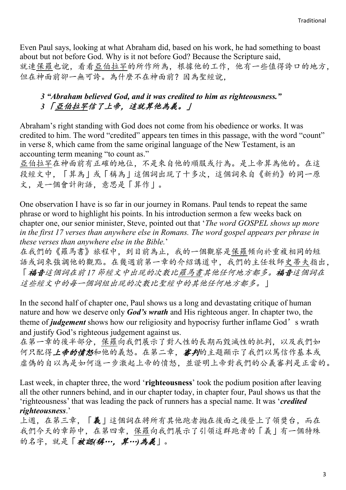Even Paul says, looking at what Abraham did, based on his work, he had something to boast about but not before God. Why is it not before God? Because the Scripture said, 就連保羅也說,看看亞伯拉罕的所作所為,根據他的工作,他有一些值得誇口的地方, 但在神面前卻一無可誇。為什麼不在神面前?因為聖經說,

### *3 "Abraham believed God, and it was credited to him as righteousness." 3* 「亞伯拉罕信了上帝,這就算他為義。」

Abraham's right standing with God does not come from his obedience or works. It was credited to him. The word "credited" appears ten times in this passage, with the word "count" in verse 8, which came from the same original language of the New Testament, is an accounting term meaning "to count as."

亞伯拉罕在神面前有正確的地位,不是來自他的順服或行為。是上帝算為他的。在這 段經文中,「算為」或「稱為」這個詞出現了十多次,這個詞來自《新約》的同一原 文,是一個會計術語,意思是「算作」。

One observation I have is so far in our journey in Romans. Paul tends to repeat the same phrase or word to highlight his points. In his introduction sermon a few weeks back on chapter one, our senior minister, Steve, pointed out that '*The word GOSPEL shows up more in the first 17 verses than anywhere else in Romans. The word gospel appears per phrase in these verses than anywhere else in the Bible.*'

在我們的《羅馬書》旅程中,到目前為止,我的一個觀察是保羅傾向於重複相同的短 語或詞來強調他的觀點。在幾週前第一章的介紹講道中,我們的主任牧師史蒂夫指出, 「福音這個詞在前 *17* 節經文中出現的次數比羅馬書其他任何地方都多。福音這個詞在 這些經文中的每一個詞組出現的次數比聖經中的其他任何地方都多。」

In the second half of chapter one, Paul shows us a long and devastating critique of human nature and how we deserve only *God's wrath* and His righteous anger. In chapter two, the theme of *judgement* shows how our religiosity and hypocrisy further inflame God's wrath and justify God's righteous judgement against us.

在第一章的後半部分,保羅向我們展示了對人性的長期而毀滅性的批判,以及我們如 何只配得上帝的憤怒和他的義怒。在第二章,審判的主題顯示了我們以篤信作基本或 虛偽的自以為是如何進一步激起上帝的憤怒,並證明上帝對我們的公義審判是正當的。

Last week, in chapter three, the word '**righteousness**' took the podium position after leaving all the other runners behind, and in our chapter today, in chapter four, Paul shows us that the 'righteousness' that was leading the pack of runners has a special name. It was '*credited righteousness*.'

上週,在第三章,「義」這個詞在將所有其他跑者拋在後面之後登上了領獎台,而在 我們今天的章節中,在第四章,保羅向我們展示了引領這群跑者的「義」有一個特殊 的名字,就是「被認伊…,算…)為義」。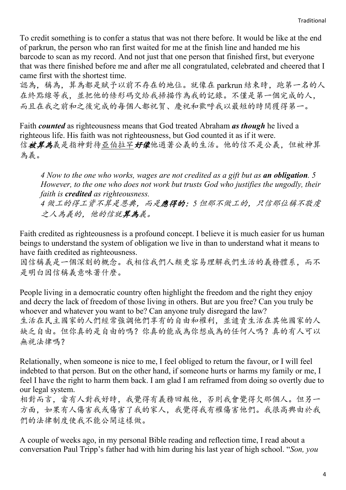To credit something is to confer a status that was not there before. It would be like at the end of parkrun, the person who ran first waited for me at the finish line and handed me his barcode to scan as my record. And not just that one person that finished first, but everyone that was there finished before me and after me all congratulated, celebrated and cheered that I came first with the shortest time.

認為,稱為,算為都是賦予以前不存在的地位。就像在 parkrun 結束時,跑第一名的人 在終點線等我,並把他的條形碼交給我掃描作為我的記錄。不僅是第一個完成的人, 而且在我之前和之後完成的每個人都祝賀、慶祝和歡呼我以最短的時間獲得第一。

Faith *counted* as righteousness means that God treated Abraham *as though* he lived a righteous life. His faith was not righteousness, but God counted it as if it were. 信被算為義是指神對待亞伯拉罕好像他過著公義的生活。他的信不是公義,但被神算 為義。

*4 Now to the one who works, wages are not credited as a gift but as an obligation. 5 However, to the one who does not work but trusts God who justifies the ungodly, their faith is credited as righteousness.*

*4* 做工的得工資不算是恩典,而是應得的;*5* 但那不做工的,只信那位稱不敬虔 之人為義的,他的信就算為義。

Faith credited as righteousness is a profound concept. I believe it is much easier for us human beings to understand the system of obligation we live in than to understand what it means to have faith credited as righteousness.

因信稱義是一個深刻的概念。我相信我們人類更容易理解我們生活的義務體系,而不 是明白因信稱義意味著什麼。

People living in a democratic country often highlight the freedom and the right they enjoy and decry the lack of freedom of those living in others. But are you free? Can you truly be whoever and whatever you want to be? Can anyone truly disregard the law? 生活在民主國家的人們經常強調他們享有的自由和權利,並譴責生活在其他國家的人 缺乏自由。但你真的是自由的嗎?你真的能成為你想成為的任何人嗎?真的有人可以 無視法律嗎?

Relationally, when someone is nice to me, I feel obliged to return the favour, or I will feel indebted to that person. But on the other hand, if someone hurts or harms my family or me, I feel I have the right to harm them back. I am glad I am reframed from doing so overtly due to our legal system.

相對而言,當有人對我好時,我覺得有義務回報他,否則我會覺得欠那個人。但另一 方面,如果有人傷害我或傷害了我的家人,我覺得我有權傷害他們。我很高興由於我 們的法律制度使我不能公開這樣做。

A couple of weeks ago, in my personal Bible reading and reflection time, I read about a conversation Paul Tripp's father had with him during his last year of high school. "*Son, you*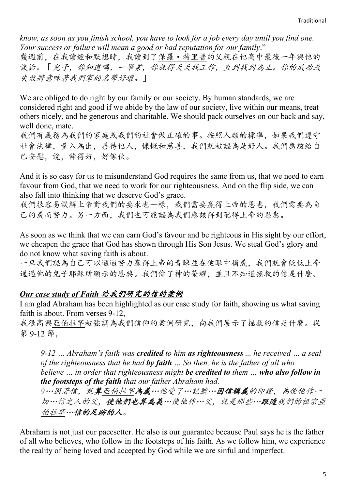*know, as soon as you finish school, you have to look for a job every day until you find one. Your success or failure will mean a good or bad reputation for our family*." 幾週前,在我讀經和默想時,我讀到了保羅·特里普的父親在他高中最後一年與他的 談話。「兒子,你知道嗎,一畢業,你就得天天找工作,直到找到為止。你的成功或 失敗將意味著我們家的名聲好壞。」

We are obliged to do right by our family or our society. By human standards, we are considered right and good if we abide by the law of our society, live within our means, treat others nicely, and be generous and charitable. We should pack ourselves on our back and say, well done, mate.

我們有義務為我們的家庭或我們的社會做正確的事。按照人類的標準,如果我們遵守 社會法律,量入為出,善待他人,慷慨和慈善,我們就被認為是好人。我們應該給自 己安慰,說,幹得好,好傢伙。

And it is so easy for us to misunderstand God requires the same from us, that we need to earn favour from God, that we need to work for our righteousness. And on the flip side, we can also fall into thinking that we deserve God's grace.

我們很容易誤解上帝對我們的要求也一樣,我們需要贏得上帝的恩惠,我們需要為自 己的義而努力。另一方面,我們也可能認為我們應該得到配得上帝的恩惠。

As soon as we think that we can earn God's favour and be righteous in His sight by our effort, we cheapen the grace that God has shown through His Son Jesus. We steal God's glory and do not know what saving faith is about.

一旦我們認為自己可以通過努力贏得上帝的青睞並在他眼中稱義,我們就會貶低上帝 通過他的兒子耶穌所顯示的恩典。我們偷了神的榮耀,並且不知道拯救的信是什麼。

#### *Our case study of Faith* 給我們研究的信的案例

I am glad Abraham has been highlighted as our case study for faith, showing us what saving faith is about. From verses 9-12,

我很高興亞伯拉罕被強調為我們信仰的案例研究,向我們展示了拯救的信是什麼。從 第 9-12 節,

*9-12 … Abraham's faith was credited to him as righteousness ... he received … a seal of the righteousness that he had by faith … So then, he is the father of all who believe … in order that righteousness might be credited to them … who also follow in the footsteps of the faith that our father Abraham had.*

*9*…因著信,就算亞伯拉罕為義…他受了…記號…因信稱義的印證,為使他作一 切…信之人的父,使他們也算為義…使他作…父,就是那些…跟隨我們的祖宗亞 伯拉罕…信的足跡的人。

Abraham is not just our pacesetter. He also is our guarantee because Paul says he is the father of all who believes, who follow in the footsteps of his faith. As we follow him, we experience the reality of being loved and accepted by God while we are sinful and imperfect.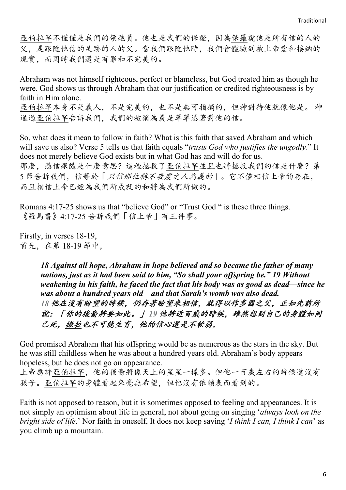亞伯拉罕不僅僅是我們的領跑員。他也是我們的保證,因為保羅說他是所有信的人的 父,是跟隨他信的足跡的人的父。當我們跟隨他時,我們會體驗到被上帝愛和接納的 現實,而同時我們還是有罪和不完美的。

Abraham was not himself righteous, perfect or blameless, but God treated him as though he were. God shows us through Abraham that our justification or credited righteousness is by faith in Him alone. 亞伯拉罕本身不是義人,不是完美的,也不是無可指摘的,但神對待他就像他是。 神

通過亞伯拉罕告訴我們,我們的被稱為義是單單憑著對他的信。

So, what does it mean to follow in faith? What is this faith that saved Abraham and which will save us also? Verse 5 tells us that faith equals "*trusts God who justifies the ungodly*." It does not merely believe God exists but in what God has and will do for us. 那麼,憑信跟隨是什麼意思?這種拯救了亞伯拉罕並且也將拯救我們的信是什麼?第 5 節告訴我們,信等於「只信那位稱不敬虔之人為義的」。它不僅相信上帝的存在, 而且相信上帝已經為我們所成就的和將為我們所做的。

Romans 4:17-25 shows us that "believe God" or "Trust God " is these three things. 《羅馬書》4:17-25 告訴我們「信上帝」有三件事。

Firstly, in verses 18-19, 首先,在第 18-19 節中,

> *18 Against all hope, Abraham in hope believed and so became the father of many nations, just as it had been said to him, "So shall your offspring be." 19 Without weakening in his faith, he faced the fact that his body was as good as dead—since he was about a hundred years old—and that Sarah's womb was also dead. 18* 他在沒有盼望的時候,仍存著盼望來相信,就得以作多國之父,正如先前所 說:「你的後裔將要如此。」 *19* 他將近百歲的時候,雖然想到自己的身體如同 已死,撒拉也不可能生育,他的信心還是不軟弱,

God promised Abraham that his offspring would be as numerous as the stars in the sky. But he was still childless when he was about a hundred years old. Abraham's body appears hopeless, but he does not go on appearance.

上帝應許亞伯拉罕,他的後裔將像天上的星星一樣多。但他一百歲左右的時候還沒有 孩子。亞伯拉罕的身體看起來毫無希望,但他沒有依賴表面看到的。

Faith is not opposed to reason, but it is sometimes opposed to feeling and appearances. It is not simply an optimism about life in general, not about going on singing '*always look on the bright side of life*.' Nor faith in oneself, It does not keep saying '*I think I can, I think I can*' as you climb up a mountain.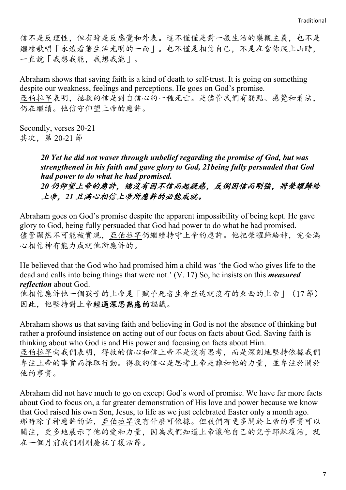信不是反理性,但有時是反感覺和外表。這不僅僅是對一般生活的樂觀主義,也不是 繼續歌唱「永遠看著生活光明的一面」。也不僅是相信自己,不是在當你爬上山時, 一直說「我想我能,我想我能」。

Abraham shows that saving faith is a kind of death to self-trust. It is going on something despite our weakness, feelings and perceptions. He goes on God's promise. 亞伯拉罕表明,拯救的信是對自信心的一種死亡。是儘管我們有弱點、感覺和看法, 仍在繼續。他信守仰望上帝的應許。

Secondly, verses 20-21 其次,第 20-21 節

> *20 Yet he did not waver through unbelief regarding the promise of God, but was strengthened in his faith and gave glory to God, 21being fully persuaded that God had power to do what he had promised. 20* 仍仰望上帝的應許,總沒有因不信而起疑惑,反倒因信而剛強,將榮耀歸給 上帝,*21* 且滿心相信上帝所應許的必能成就。

Abraham goes on God's promise despite the apparent impossibility of being kept. He gave glory to God, being fully persuaded that God had power to do what he had promised. 儘管顯然不可能被實現,亞伯拉罕仍繼續持守上帝的應許。他把榮耀歸給神,完全滿 心相信神有能力成就他所應許的。

He believed that the God who had promised him a child was 'the God who gives life to the dead and calls into being things that were not.' (V. 17) So, he insists on this *measured reflection* about God.

他相信應許他一個孩子的上帝是「賦予死者生命並造就沒有的東西的上帝」(17 節) 因此,他堅持對上帝經過深思熟慮的認識。

Abraham shows us that saving faith and believing in God is not the absence of thinking but rather a profound insistence on acting out of our focus on facts about God. Saving faith is thinking about who God is and His power and focusing on facts about Him.

亞伯拉罕向我們表明,得救的信心和信上帝不是沒有思考,而是深刻地堅持依據我們 專注上帝的事實而採取行動。得救的信心是思考上帝是誰和他的力量,並專注於關於 他的事實。

Abraham did not have much to go on except God's word of promise. We have far more facts about God to focus on, a far greater demonstration of His love and power because we know that God raised his own Son, Jesus, to life as we just celebrated Easter only a month ago. 那時除了神應許的話, 亞伯拉罕沒有什麼可依據。但我們有更多關於上帝的事實可以 關注,更多地展示了他的愛和力量,因為我們知道上帝讓他自己的兒子耶穌復活,就 在一個月前我們剛剛慶祝了復活節。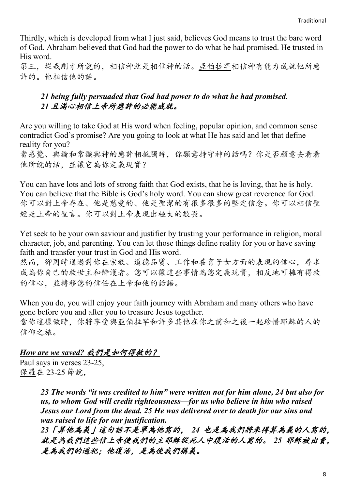Thirdly, which is developed from what I just said, believes God means to trust the bare word of God. Abraham believed that God had the power to do what he had promised. He trusted in His word.

第三,從我剛才所說的,相信神就是相信神的話。亞伯拉罕相信神有能力成就他所應 許的。他相信他的話。

#### *21 being fully persuaded that God had power to do what he had promised. 21* 且滿心相信上帝所應許的必能成就。

Are you willing to take God at His word when feeling, popular opinion, and common sense contradict God's promise? Are you going to look at what He has said and let that define reality for you?

當感覺、輿論和常識與神的應許相抵觸時,你願意持守神的話嗎?你是否願意去看看 他所說的話,並讓它為你定義現實?

You can have lots and lots of strong faith that God exists, that he is loving, that he is holy. You can believe that the Bible is God's holy word. You can show great reverence for God. 你可以對上帝存在、他是慈愛的、他是聖潔的有很多很多的堅定信念。你可以相信聖 經是上帝的聖言。你可以對上帝表現出極大的敬畏。

Yet seek to be your own saviour and justifier by trusting your performance in religion, moral character, job, and parenting. You can let those things define reality for you or have saving faith and transfer your trust in God and His word.

然而,卻同時通過對你在宗教、道德品質、工作和養育子女方面的表現的信心,尋求 成為你自己的救世主和辯護者。您可以讓這些事情為您定義現實,相反地可擁有得救 的信心,並轉移您的信任在上帝和他的話語。

When you do, you will enjoy your faith journey with Abraham and many others who have gone before you and after you to treasure Jesus together. 當你這樣做時,你將享受與亞伯拉罕和許多其他在你之前和之後一起珍惜耶穌的人的 信仰之旅。

#### *How are we saved?* 我們是如何得救的?

Paul says in verses 23-25, 保羅在 23-25 節說,

> *23 The words "it was credited to him" were written not for him alone, 24 but also for us, to whom God will credit righteousness—for us who believe in him who raised Jesus our Lord from the dead. 25 He was delivered over to death for our sins and was raised to life for our justification.*

*23*「算他為義」這句話不是單為他寫的, *24* 也是為我們將來得算為義的人寫的, 就是為我們這些信上帝使我們的主耶穌從死人中復活的人寫的。 *25* 耶穌被出賣, 是為我們的過犯;他復活,是為使我們稱義。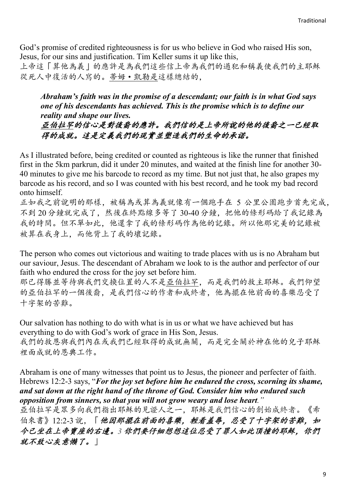God's promise of credited righteousness is for us who believe in God who raised His son, Jesus, for our sins and justification. Tim Keller sums it up like this,

上帝這「算他為義」的應許是為我們這些信上帝為我們的過犯和稱義使我們的主耶穌 從死人中復活的人寫的。蒂姆·凱勒是這樣總結的,

*Abraham's faith was in the promise of a descendant; our faith is in what God says one of his descendants has achieved. This is the promise which is to define our reality and shape our lives.*

亞伯拉罕的信心是對後裔的應許。我們信的是上帝所說的他的後裔之一已經取 得的成就。這是定義我們的現實並塑造我們的生命的承諾。

As I illustrated before, being credited or counted as righteous is like the runner that finished first in the 5km parkrun, did it under 20 minutes, and waited at the finish line for another 30- 40 minutes to give me his barcode to record as my time. But not just that, he also grapes my barcode as his record, and so I was counted with his best record, and he took my bad record onto himself.

正如我之前說明的那樣,被稱為或算為義就像有一個跑手在 5 公里公園跑步首先完成, 不到 20分鐘就完成了,然後在終點線多等了 30-40分鐘, 把他的條形碼給了我記錄為 我的時間。但不單如此,他還拿了我的條形碼作為他的記錄。所以他那完美的記錄被 被算在我身上,而他背上了我的壞記錄。

The person who comes out victorious and waiting to trade places with us is no Abraham but our saviour, Jesus. The descendant of Abraham we look to is the author and perfector of our faith who endured the cross for the joy set before him.

那已得勝並等待與我們交換位置的人不是亞伯拉罕,而是我們的救主耶穌。我們仰望 的亞伯拉罕的一個後裔,是我們信心的作者和成終者,他為擺在他前面的喜樂忍受了 十字架的苦難。

Our salvation has nothing to do with what is in us or what we have achieved but has everything to do with God's work of grace in His Son, Jesus. 我們的救恩與我們內在或我們已經取得的成就無關,而是完全關於神在他的兒子耶穌 裡面成就的恩典工作。

Abraham is one of many witnesses that point us to Jesus, the pioneer and perfecter of faith. Hebrews 12:2-3 says, "*For the joy set before him he endured the cross, scorning its shame, and sat down at the right hand of the throne of God. Consider him who endured such opposition from sinners, so that you will not grow weary and lose heart."*

亞伯拉罕是眾多向我們指出耶穌的見證人之一,耶穌是我們信心的創始成終者。《希 伯來書》12:2-3說,「他因那擺在前面的喜樂,輕看羞辱,忍受了十字架的苦難,如 今已坐在上帝寶座的右邊。*3* 你們要仔細想想這位忍受了罪人如此頂撞的耶穌,你們 就不致心灰意懶了。」